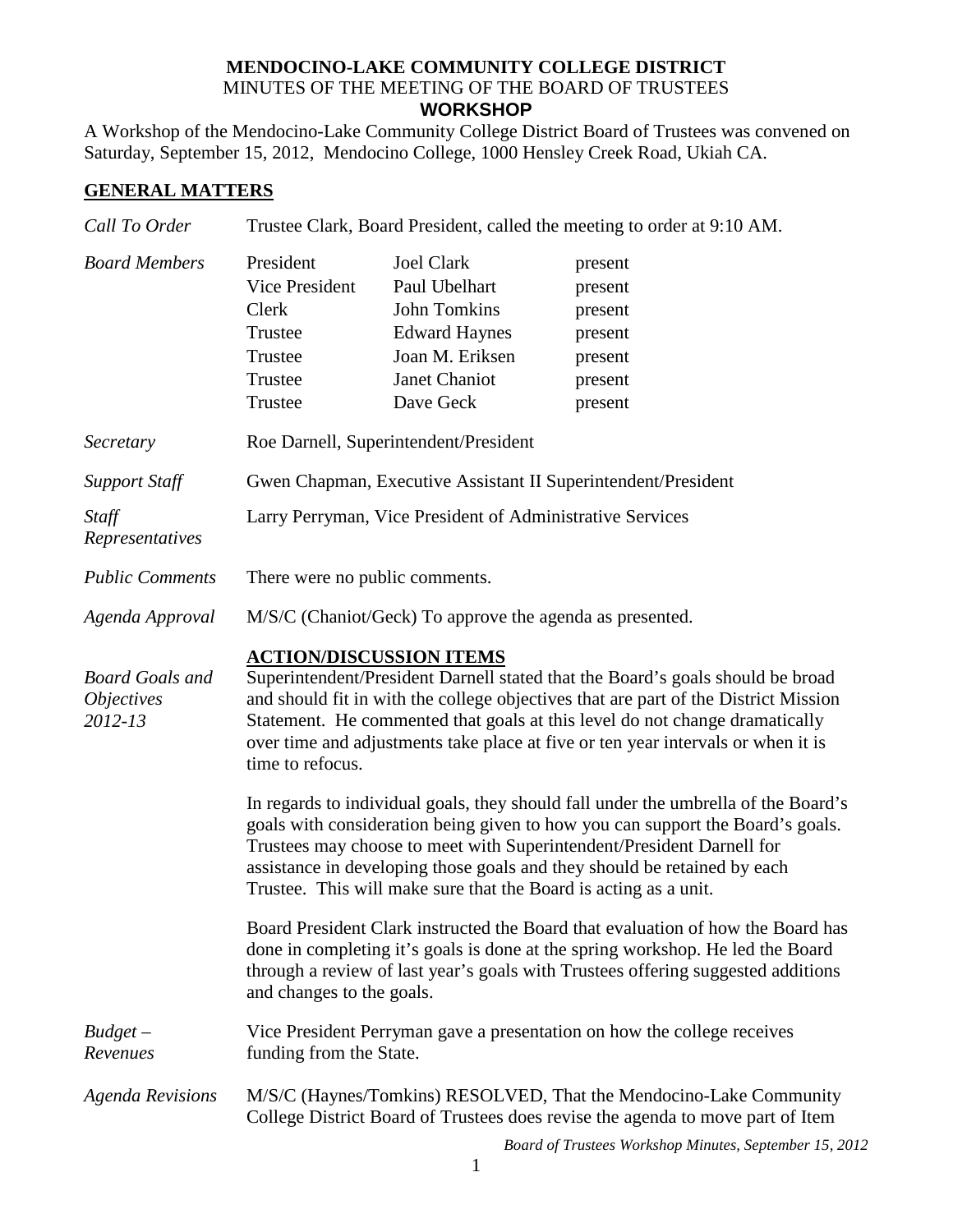## **MENDOCINO-LAKE COMMUNITY COLLEGE DISTRICT** MINUTES OF THE MEETING OF THE BOARD OF TRUSTEES **WORKSHOP**

A Workshop of the Mendocino-Lake Community College District Board of Trustees was convened on Saturday, September 15, 2012, Mendocino College, 1000 Hensley Creek Road, Ukiah CA.

## **GENERAL MATTERS**

| Call To Order                                          | Trustee Clark, Board President, called the meeting to order at 9:10 AM.                                                                                                                                                                                                                                                                                                                        |                                                                                                                             |                                                                           |  |
|--------------------------------------------------------|------------------------------------------------------------------------------------------------------------------------------------------------------------------------------------------------------------------------------------------------------------------------------------------------------------------------------------------------------------------------------------------------|-----------------------------------------------------------------------------------------------------------------------------|---------------------------------------------------------------------------|--|
| <b>Board Members</b>                                   | President<br>Vice President<br>Clerk<br>Trustee<br>Trustee<br>Trustee<br>Trustee                                                                                                                                                                                                                                                                                                               | <b>Joel Clark</b><br>Paul Ubelhart<br>John Tomkins<br><b>Edward Haynes</b><br>Joan M. Eriksen<br>Janet Chaniot<br>Dave Geck | present<br>present<br>present<br>present<br>present<br>present<br>present |  |
| Secretary                                              | Roe Darnell, Superintendent/President                                                                                                                                                                                                                                                                                                                                                          |                                                                                                                             |                                                                           |  |
| <b>Support Staff</b>                                   | Gwen Chapman, Executive Assistant II Superintendent/President                                                                                                                                                                                                                                                                                                                                  |                                                                                                                             |                                                                           |  |
| Staff<br>Representatives                               | Larry Perryman, Vice President of Administrative Services                                                                                                                                                                                                                                                                                                                                      |                                                                                                                             |                                                                           |  |
| <b>Public Comments</b>                                 | There were no public comments.                                                                                                                                                                                                                                                                                                                                                                 |                                                                                                                             |                                                                           |  |
| Agenda Approval                                        | M/S/C (Chaniot/Geck) To approve the agenda as presented.                                                                                                                                                                                                                                                                                                                                       |                                                                                                                             |                                                                           |  |
| <b>Board Goals and</b><br><i>Objectives</i><br>2012-13 | <b>ACTION/DISCUSSION ITEMS</b><br>Superintendent/President Darnell stated that the Board's goals should be broad<br>and should fit in with the college objectives that are part of the District Mission<br>Statement. He commented that goals at this level do not change dramatically<br>over time and adjustments take place at five or ten year intervals or when it is<br>time to refocus. |                                                                                                                             |                                                                           |  |
|                                                        | In regards to individual goals, they should fall under the umbrella of the Board's<br>goals with consideration being given to how you can support the Board's goals.<br>Trustees may choose to meet with Superintendent/President Darnell for<br>assistance in developing those goals and they should be retained by each<br>Trustee. This will make sure that the Board is acting as a unit.  |                                                                                                                             |                                                                           |  |
|                                                        | Board President Clark instructed the Board that evaluation of how the Board has<br>done in completing it's goals is done at the spring workshop. He led the Board<br>through a review of last year's goals with Trustees offering suggested additions<br>and changes to the goals.                                                                                                             |                                                                                                                             |                                                                           |  |
| $Budget -$<br>Revenues                                 | Vice President Perryman gave a presentation on how the college receives<br>funding from the State.                                                                                                                                                                                                                                                                                             |                                                                                                                             |                                                                           |  |
| <b>Agenda Revisions</b>                                | M/S/C (Haynes/Tomkins) RESOLVED, That the Mendocino-Lake Community<br>College District Board of Trustees does revise the agenda to move part of Item<br>Board of Trustees Workshop Minutes, September 15, 2012                                                                                                                                                                                 |                                                                                                                             |                                                                           |  |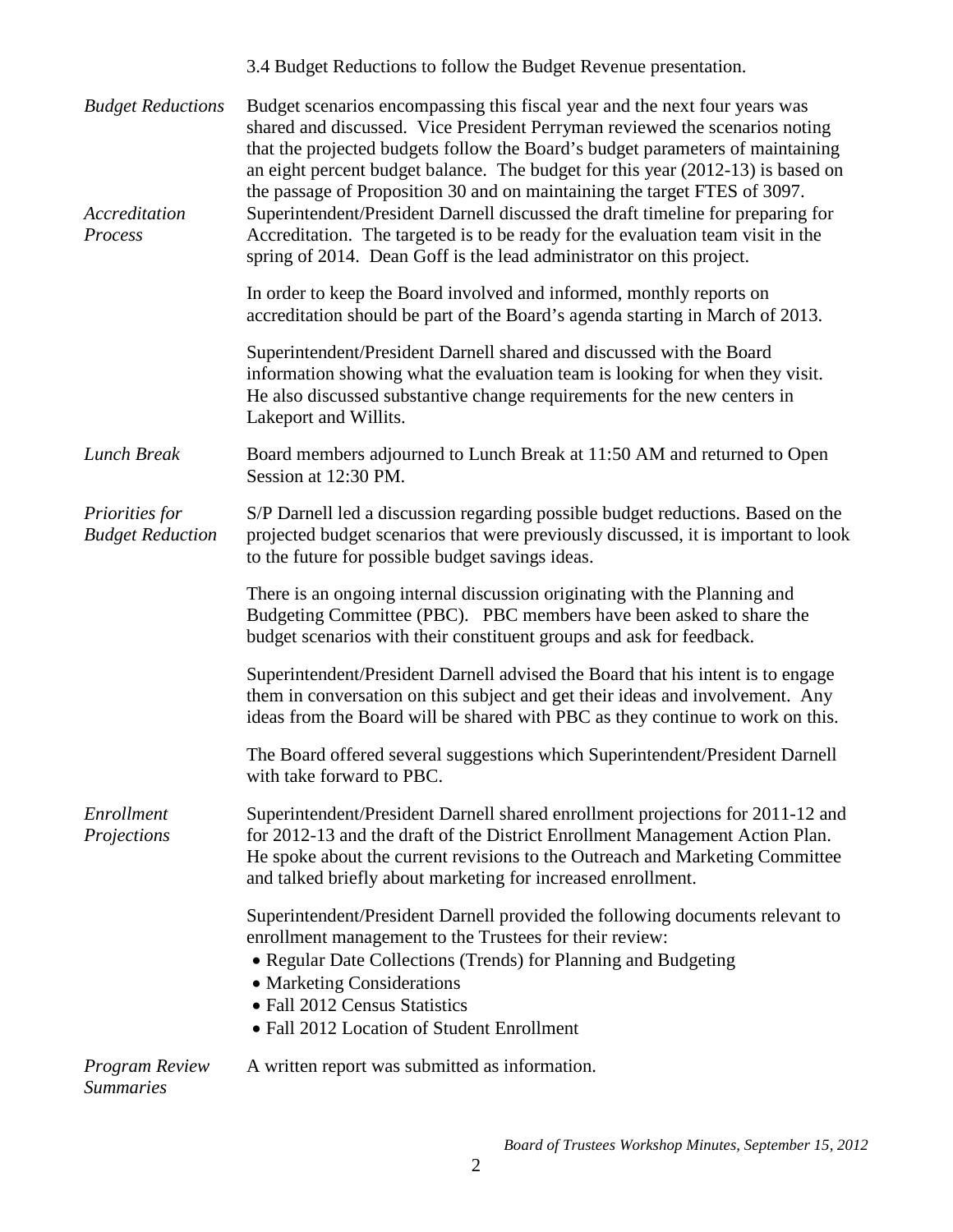|                                                      | 3.4 Budget Reductions to follow the Budget Revenue presentation.                                                                                                                                                                                                                                                                                                                                                                                                                                                                                                                                                                                          |  |  |
|------------------------------------------------------|-----------------------------------------------------------------------------------------------------------------------------------------------------------------------------------------------------------------------------------------------------------------------------------------------------------------------------------------------------------------------------------------------------------------------------------------------------------------------------------------------------------------------------------------------------------------------------------------------------------------------------------------------------------|--|--|
| <b>Budget Reductions</b><br>Accreditation<br>Process | Budget scenarios encompassing this fiscal year and the next four years was<br>shared and discussed. Vice President Perryman reviewed the scenarios noting<br>that the projected budgets follow the Board's budget parameters of maintaining<br>an eight percent budget balance. The budget for this year (2012-13) is based on<br>the passage of Proposition 30 and on maintaining the target FTES of 3097.<br>Superintendent/President Darnell discussed the draft timeline for preparing for<br>Accreditation. The targeted is to be ready for the evaluation team visit in the<br>spring of 2014. Dean Goff is the lead administrator on this project. |  |  |
|                                                      | In order to keep the Board involved and informed, monthly reports on<br>accreditation should be part of the Board's agenda starting in March of 2013.                                                                                                                                                                                                                                                                                                                                                                                                                                                                                                     |  |  |
|                                                      | Superintendent/President Darnell shared and discussed with the Board<br>information showing what the evaluation team is looking for when they visit.<br>He also discussed substantive change requirements for the new centers in<br>Lakeport and Willits.                                                                                                                                                                                                                                                                                                                                                                                                 |  |  |
| <b>Lunch Break</b>                                   | Board members adjourned to Lunch Break at 11:50 AM and returned to Open<br>Session at 12:30 PM.                                                                                                                                                                                                                                                                                                                                                                                                                                                                                                                                                           |  |  |
| Priorities for<br><b>Budget Reduction</b>            | S/P Darnell led a discussion regarding possible budget reductions. Based on the<br>projected budget scenarios that were previously discussed, it is important to look<br>to the future for possible budget savings ideas.                                                                                                                                                                                                                                                                                                                                                                                                                                 |  |  |
|                                                      | There is an ongoing internal discussion originating with the Planning and<br>Budgeting Committee (PBC). PBC members have been asked to share the<br>budget scenarios with their constituent groups and ask for feedback.                                                                                                                                                                                                                                                                                                                                                                                                                                  |  |  |
|                                                      | Superintendent/President Darnell advised the Board that his intent is to engage<br>them in conversation on this subject and get their ideas and involvement. Any<br>ideas from the Board will be shared with PBC as they continue to work on this.                                                                                                                                                                                                                                                                                                                                                                                                        |  |  |
|                                                      | The Board offered several suggestions which Superintendent/President Darnell<br>with take forward to PBC.                                                                                                                                                                                                                                                                                                                                                                                                                                                                                                                                                 |  |  |
| Enrollment<br>Projections                            | Superintendent/President Darnell shared enrollment projections for 2011-12 and<br>for 2012-13 and the draft of the District Enrollment Management Action Plan.<br>He spoke about the current revisions to the Outreach and Marketing Committee<br>and talked briefly about marketing for increased enrollment.                                                                                                                                                                                                                                                                                                                                            |  |  |
|                                                      | Superintendent/President Darnell provided the following documents relevant to<br>enrollment management to the Trustees for their review:<br>• Regular Date Collections (Trends) for Planning and Budgeting<br>• Marketing Considerations<br>• Fall 2012 Census Statistics<br>• Fall 2012 Location of Student Enrollment                                                                                                                                                                                                                                                                                                                                   |  |  |
| <b>Program Review</b><br><b>Summaries</b>            | A written report was submitted as information.                                                                                                                                                                                                                                                                                                                                                                                                                                                                                                                                                                                                            |  |  |